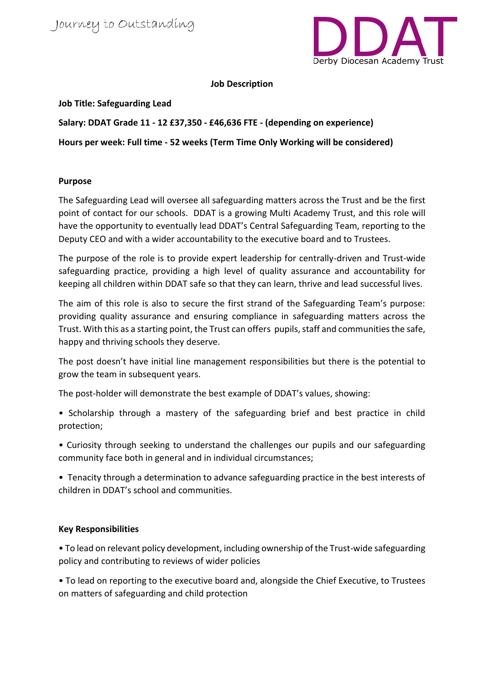

**Job Description**

**Job Title: Safeguarding Lead**

**Salary: DDAT Grade 11 - 12 £37,350 - £46,636 FTE - (depending on experience) Hours per week: Full time - 52 weeks (Term Time Only Working will be considered)**

## **Purpose**

The Safeguarding Lead will oversee all safeguarding matters across the Trust and be the first point of contact for our schools. DDAT is a growing Multi Academy Trust, and this role will have the opportunity to eventually lead DDAT's Central Safeguarding Team, reporting to the Deputy CEO and with a wider accountability to the executive board and to Trustees.

The purpose of the role is to provide expert leadership for centrally-driven and Trust-wide safeguarding practice, providing a high level of quality assurance and accountability for keeping all children within DDAT safe so that they can learn, thrive and lead successful lives.

The aim of this role is also to secure the first strand of the Safeguarding Team's purpose: providing quality assurance and ensuring compliance in safeguarding matters across the Trust. With this as a starting point, the Trust can offers pupils, staff and communities the safe, happy and thriving schools they deserve.

The post doesn't have initial line management responsibilities but there is the potential to grow the team in subsequent years.

The post-holder will demonstrate the best example of DDAT's values, showing:

• Scholarship through a mastery of the safeguarding brief and best practice in child protection;

• Curiosity through seeking to understand the challenges our pupils and our safeguarding community face both in general and in individual circumstances;

• Tenacity through a determination to advance safeguarding practice in the best interests of children in DDAT's school and communities.

## **Key Responsibilities**

• To lead on relevant policy development, including ownership of the Trust-wide safeguarding policy and contributing to reviews of wider policies

• To lead on reporting to the executive board and, alongside the Chief Executive, to Trustees on matters of safeguarding and child protection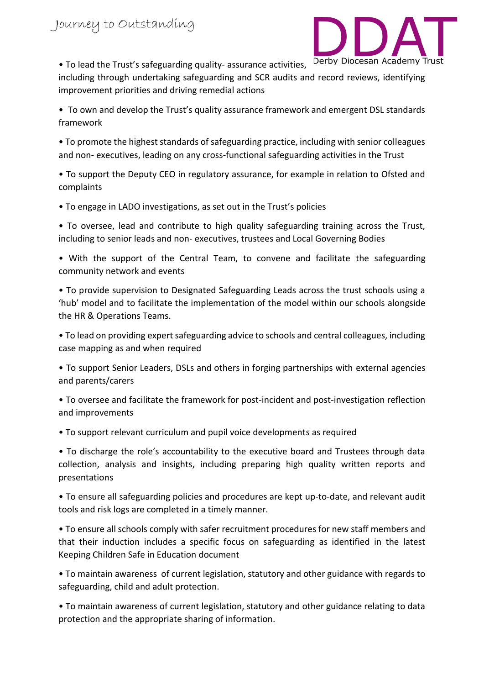

• To lead the Trust's safeguarding quality- assurance activities, including through undertaking safeguarding and SCR audits and record reviews, identifying improvement priorities and driving remedial actions

• To own and develop the Trust's quality assurance framework and emergent DSL standards framework

• To promote the highest standards of safeguarding practice, including with senior colleagues and non- executives, leading on any cross-functional safeguarding activities in the Trust

• To support the Deputy CEO in regulatory assurance, for example in relation to Ofsted and complaints

• To engage in LADO investigations, as set out in the Trust's policies

• To oversee, lead and contribute to high quality safeguarding training across the Trust, including to senior leads and non- executives, trustees and Local Governing Bodies

• With the support of the Central Team, to convene and facilitate the safeguarding community network and events

• To provide supervision to Designated Safeguarding Leads across the trust schools using a 'hub' model and to facilitate the implementation of the model within our schools alongside the HR & Operations Teams.

• To lead on providing expert safeguarding advice to schools and central colleagues, including case mapping as and when required

• To support Senior Leaders, DSLs and others in forging partnerships with external agencies and parents/carers

• To oversee and facilitate the framework for post-incident and post-investigation reflection and improvements

• To support relevant curriculum and pupil voice developments as required

• To discharge the role's accountability to the executive board and Trustees through data collection, analysis and insights, including preparing high quality written reports and presentations

• To ensure all safeguarding policies and procedures are kept up-to-date, and relevant audit tools and risk logs are completed in a timely manner.

• To ensure all schools comply with safer recruitment procedures for new staff members and that their induction includes a specific focus on safeguarding as identified in the latest Keeping Children Safe in Education document

• To maintain awareness of current legislation, statutory and other guidance with regards to safeguarding, child and adult protection.

• To maintain awareness of current legislation, statutory and other guidance relating to data protection and the appropriate sharing of information.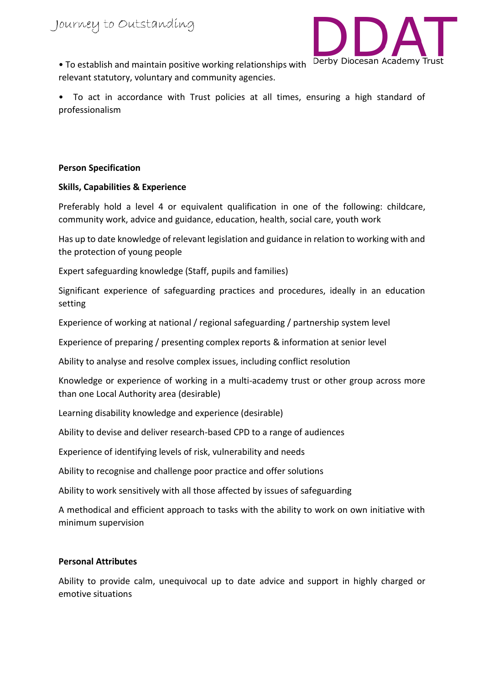

• To establish and maintain positive working relationships with relevant statutory, voluntary and community agencies.

• To act in accordance with Trust policies at all times, ensuring a high standard of professionalism

#### **Person Specification**

### **Skills, Capabilities & Experience**

Preferably hold a level 4 or equivalent qualification in one of the following: childcare, community work, advice and guidance, education, health, social care, youth work

Has up to date knowledge of relevant legislation and guidance in relation to working with and the protection of young people

Expert safeguarding knowledge (Staff, pupils and families)

Significant experience of safeguarding practices and procedures, ideally in an education setting

Experience of working at national / regional safeguarding / partnership system level

Experience of preparing / presenting complex reports & information at senior level

Ability to analyse and resolve complex issues, including conflict resolution

Knowledge or experience of working in a multi-academy trust or other group across more than one Local Authority area (desirable)

Learning disability knowledge and experience (desirable)

Ability to devise and deliver research-based CPD to a range of audiences

Experience of identifying levels of risk, vulnerability and needs

Ability to recognise and challenge poor practice and offer solutions

Ability to work sensitively with all those affected by issues of safeguarding

A methodical and efficient approach to tasks with the ability to work on own initiative with minimum supervision

#### **Personal Attributes**

Ability to provide calm, unequivocal up to date advice and support in highly charged or emotive situations